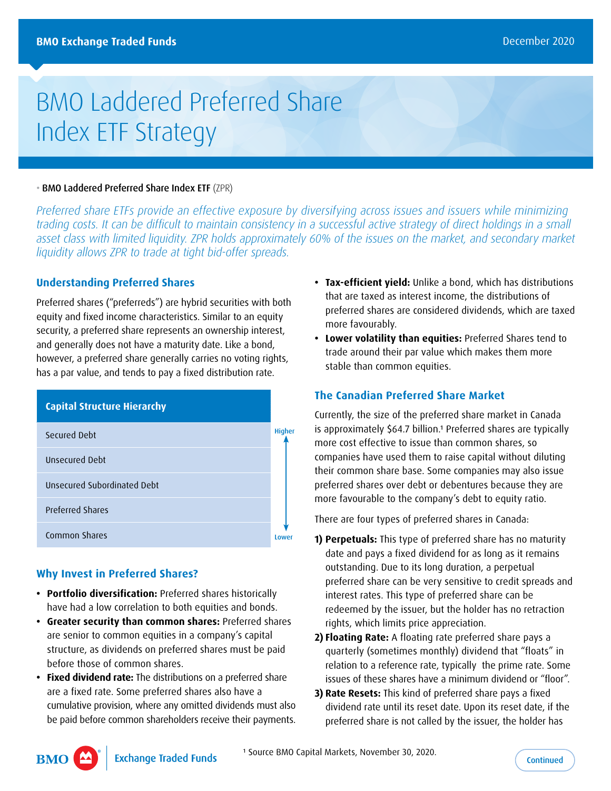# BMO Laddered Preferred Share Index ETF Strategy

## • BMO Laddered Preferred Share Index ETF (ZPR)

*Preferred share ETFs provide an effective exposure by diversifying across issues and issuers while minimizing trading costs. It can be difficult to maintain consistency in a successful active strategy of direct holdings in a small asset class with limited liquidity. ZPR holds approximately 60% of the issues on the market, and secondary market liquidity allows ZPR to trade at tight bid-offer spreads.*

## **Understanding Preferred Shares**

Preferred shares ("preferreds") are hybrid securities with both equity and fixed income characteristics. Similar to an equity security, a preferred share represents an ownership interest, and generally does not have a maturity date. Like a bond, however, a preferred share generally carries no voting rights, has a par value, and tends to pay a fixed distribution rate.

| <b>Capital Structure Hierarchy</b> |               |
|------------------------------------|---------------|
| Secured Debt                       | <b>Higher</b> |
| Unsecured Debt                     |               |
| <b>Unsecured Subordinated Debt</b> |               |
| <b>Preferred Shares</b>            |               |
| Common Shares                      | Lower         |
|                                    |               |

# **Why Invest in Preferred Shares?**

- **• Portfolio diversification:** Preferred shares historically have had a low correlation to both equities and bonds.
- **• Greater security than common shares:** Preferred shares are senior to common equities in a company's capital structure, as dividends on preferred shares must be paid before those of common shares.
- **• Fixed dividend rate:** The distributions on a preferred share are a fixed rate. Some preferred shares also have a cumulative provision, where any omitted dividends must also be paid before common shareholders receive their payments.
- **• Tax-efficient yield:** Unlike a bond, which has distributions that are taxed as interest income, the distributions of preferred shares are considered dividends, which are taxed more favourably.
- **• Lower volatility than equities:** Preferred Shares tend to trade around their par value which makes them more stable than common equities.

## **The Canadian Preferred Share Market**

Currently, the size of the preferred share market in Canada is approximately \$64.7 billion.<sup>1</sup> Preferred shares are typically more cost effective to issue than common shares, so companies have used them to raise capital without diluting their common share base. Some companies may also issue preferred shares over debt or debentures because they are more favourable to the company's debt to equity ratio.

There are four types of preferred shares in Canada:

- **1) Perpetuals:** This type of preferred share has no maturity date and pays a fixed dividend for as long as it remains outstanding. Due to its long duration, a perpetual preferred share can be very sensitive to credit spreads and interest rates. This type of preferred share can be redeemed by the issuer, but the holder has no retraction rights, which limits price appreciation.
- **2) Floating Rate:** A floating rate preferred share pays a quarterly (sometimes monthly) dividend that "floats" in relation to a reference rate, typically the prime rate. Some issues of these shares have a minimum dividend or "floor".
- **3) Rate Resets:** This kind of preferred share pays a fixed dividend rate until its reset date. Upon its reset date, if the preferred share is not called by the issuer, the holder has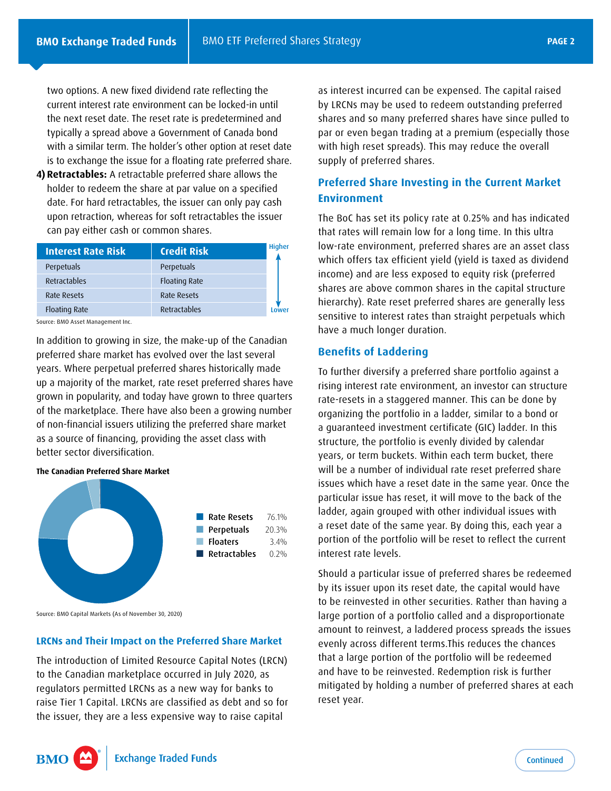<span id="page-1-0"></span>two options. A new fixed dividend rate reflecting the current interest rate environment can be locked-in until the next reset date. The reset rate is predetermined and typically a spread above a Government of Canada bond with a similar term. The holder's other option at reset date is to exchange the issue for a floating rate preferred share.

**4) Retractables:** A retractable preferred share allows the holder to redeem the share at par value on a specified date. For hard retractables, the issuer can only pay cash upon retraction, whereas for soft retractables the issuer can pay either cash or common shares.

| <b>Interest Rate Risk</b> | <b>Credit Risk</b>   | <b>Higher</b> |
|---------------------------|----------------------|---------------|
| Perpetuals                | Perpetuals           |               |
| Retractables              | <b>Floating Rate</b> |               |
| Rate Resets               | Rate Resets          |               |
| <b>Floating Rate</b>      | Retractables         |               |

Source: BMO Asset Management Inc.

In addition to growing in size, the make-up of the Canadian preferred share market has evolved over the last several years. Where perpetual preferred shares historically made up a majority of the market, rate reset preferred shares have grown in popularity, and today have grown to three quarters of the marketplace. There have also been a growing number of non-financial issuers utilizing the preferred share market as a source of financing, providing the asset class with better sector diversification.

#### **The Canadian Preferred Share Market**



Source: BMO Capital Markets (As of November 30, 2020)

**BMO** 

#### **LRCNs and Their Impact on the Preferred Share Market**

The introduction of Limited Resource Capital Notes (LRCN) to the Canadian marketplace occurred in July 2020, as regulators permitted LRCNs as a new way for banks to raise Tier 1 Capital. LRCNs are classified as debt and so for the issuer, they are a less expensive way to raise capital

as interest incurred can be expensed. The capital raised by LRCNs may be used to redeem outstanding preferred shares and so many preferred shares have since pulled to par or even began trading at a premium (especially those with high reset spreads). This may reduce the overall supply of preferred shares.

# **Preferred Share Investing in the Current Market Environment**

The BoC has set its policy rate at 0.25% and has indicated that rates will remain low for a long time. In this ultra low-rate environment, preferred shares are an asset class which offers tax efficient yield (yield is taxed as dividend income) and are less exposed to equity risk (preferred shares are above common shares in the capital structure hierarchy). Rate reset preferred shares are generally less sensitive to interest rates than straight perpetuals which have a much longer duration.

### **Benefits of Laddering**

To further diversify a preferred share portfolio against a rising interest rate environment, an investor can structure rate-resets in a staggered manner. This can be done by organizing the portfolio in a ladder, similar to a bond or a guaranteed investment certificate (GIC) ladder. In this structure, the portfolio is evenly divided by calendar years, or term buckets. Within each term bucket, there will be a number of individual rate reset preferred share issues which have a reset date in the same year. Once the particular issue has reset, it will move to the back of the ladder, again grouped with other individual issues with a reset date of the same year. By doing this, each year a portion of the portfolio will be reset to reflect the current interest rate levels.

Should a particular issue of preferred shares be redeemed by its issuer upon its reset date, the capital would have to be reinvested in other securities. Rather than having a large portion of a portfolio called and a disproportionate amount to reinvest, a laddered process spreads the issues evenly across different terms.This reduces the chances that a large portion of the portfolio will be redeemed and have to be reinvested. Redemption risk is further mitigated by holding a number of preferred shares at each reset year.